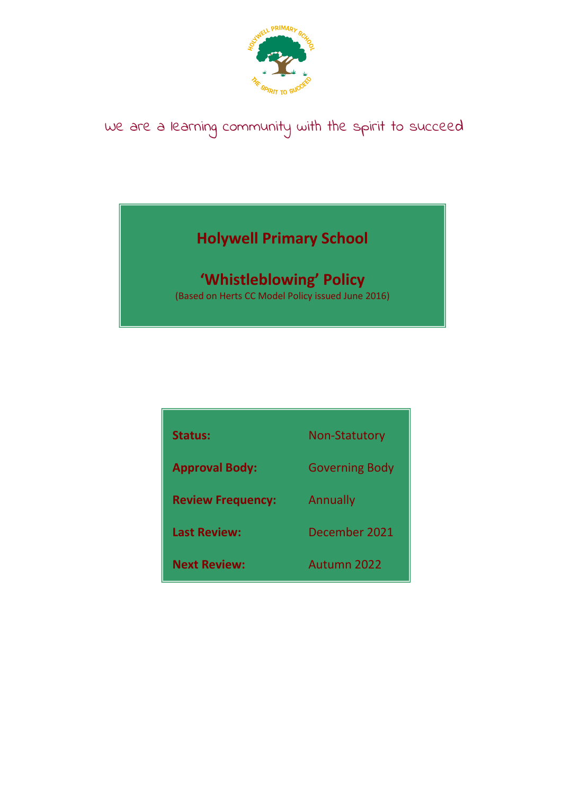

# We are a learning community with the spirit to succeed

## **Holywell Primary School**

## **'Whistleblowing' Policy**

(Based on Herts CC Model Policy issued June 2016)

| <b>Status:</b>           | <b>Non-Statutory</b>  |
|--------------------------|-----------------------|
| <b>Approval Body:</b>    | <b>Governing Body</b> |
| <b>Review Frequency:</b> | Annually              |
| <b>Last Review:</b>      | December 2021         |
| <b>Next Review:</b>      | Autumn 2022           |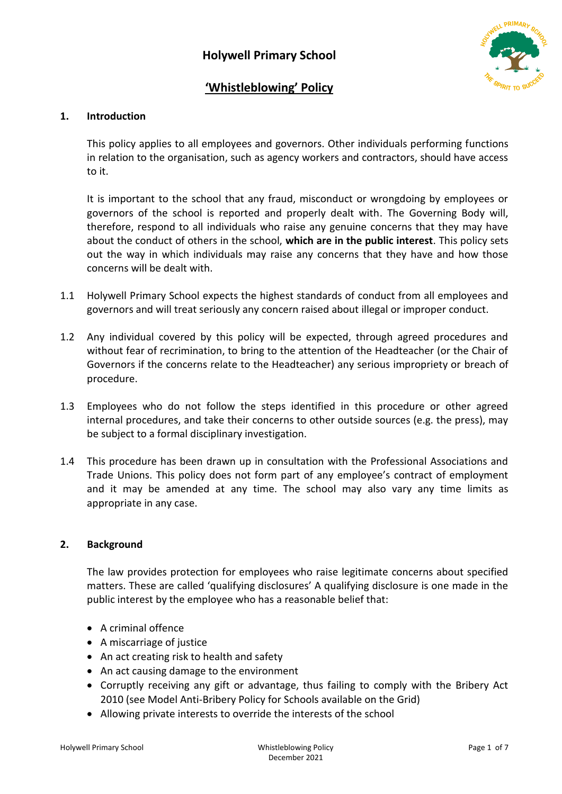

### **'Whistleblowing' Policy**

#### **1. Introduction**

This policy applies to all employees and governors. Other individuals performing functions in relation to the organisation, such as agency workers and contractors, should have access to it.

It is important to the school that any fraud, misconduct or wrongdoing by employees or governors of the school is reported and properly dealt with. The Governing Body will, therefore, respond to all individuals who raise any genuine concerns that they may have about the conduct of others in the school, **which are in the public interest**. This policy sets out the way in which individuals may raise any concerns that they have and how those concerns will be dealt with.

- 1.1 Holywell Primary School expects the highest standards of conduct from all employees and governors and will treat seriously any concern raised about illegal or improper conduct.
- 1.2 Any individual covered by this policy will be expected, through agreed procedures and without fear of recrimination, to bring to the attention of the Headteacher (or the Chair of Governors if the concerns relate to the Headteacher) any serious impropriety or breach of procedure.
- 1.3 Employees who do not follow the steps identified in this procedure or other agreed internal procedures, and take their concerns to other outside sources (e.g. the press), may be subject to a formal disciplinary investigation.
- 1.4 This procedure has been drawn up in consultation with the Professional Associations and Trade Unions. This policy does not form part of any employee's contract of employment and it may be amended at any time. The school may also vary any time limits as appropriate in any case.

#### **2. Background**

The law provides protection for employees who raise legitimate concerns about specified matters. These are called 'qualifying disclosures' A qualifying disclosure is one made in the public interest by the employee who has a reasonable belief that:

- A criminal offence
- A miscarriage of justice
- An act creating risk to health and safety
- An act causing damage to the environment
- Corruptly receiving any gift or advantage, thus failing to comply with the Bribery Act 2010 (see Model Anti-Bribery Policy for Schools available on the Grid)
- Allowing private interests to override the interests of the school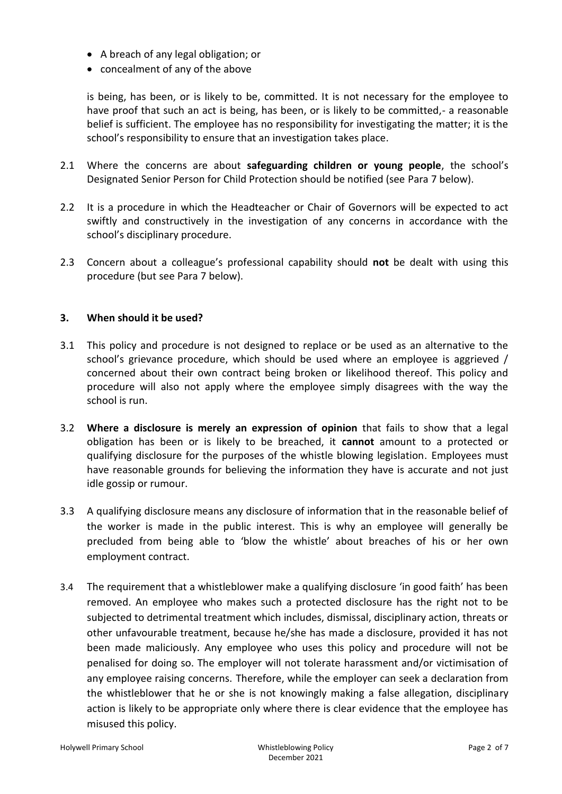- A breach of any legal obligation; or
- concealment of any of the above

is being, has been, or is likely to be, committed. It is not necessary for the employee to have proof that such an act is being, has been, or is likely to be committed,- a reasonable belief is sufficient. The employee has no responsibility for investigating the matter; it is the school's responsibility to ensure that an investigation takes place.

- 2.1 Where the concerns are about **safeguarding children or young people**, the school's Designated Senior Person for Child Protection should be notified (see Para 7 below).
- 2.2 It is a procedure in which the Headteacher or Chair of Governors will be expected to act swiftly and constructively in the investigation of any concerns in accordance with the school's disciplinary procedure.
- 2.3 Concern about a colleague's professional capability should **not** be dealt with using this procedure (but see Para 7 below).

#### **3. When should it be used?**

- 3.1 This policy and procedure is not designed to replace or be used as an alternative to the school's grievance procedure, which should be used where an employee is aggrieved / concerned about their own contract being broken or likelihood thereof. This policy and procedure will also not apply where the employee simply disagrees with the way the school is run.
- 3.2 **Where a disclosure is merely an expression of opinion** that fails to show that a legal obligation has been or is likely to be breached, it **cannot** amount to a protected or qualifying disclosure for the purposes of the whistle blowing legislation. Employees must have reasonable grounds for believing the information they have is accurate and not just idle gossip or rumour.
- 3.3 A qualifying disclosure means any disclosure of information that in the reasonable belief of the worker is made in the public interest. This is why an employee will generally be precluded from being able to 'blow the whistle' about breaches of his or her own employment contract.
- 3.4 The requirement that a whistleblower make a qualifying disclosure 'in good faith' has been removed. An employee who makes such a protected disclosure has the right not to be subjected to detrimental treatment which includes, dismissal, disciplinary action, threats or other unfavourable treatment, because he/she has made a disclosure, provided it has not been made maliciously. Any employee who uses this policy and procedure will not be penalised for doing so. The employer will not tolerate harassment and/or victimisation of any employee raising concerns. Therefore, while the employer can seek a declaration from the whistleblower that he or she is not knowingly making a false allegation, disciplinary action is likely to be appropriate only where there is clear evidence that the employee has misused this policy.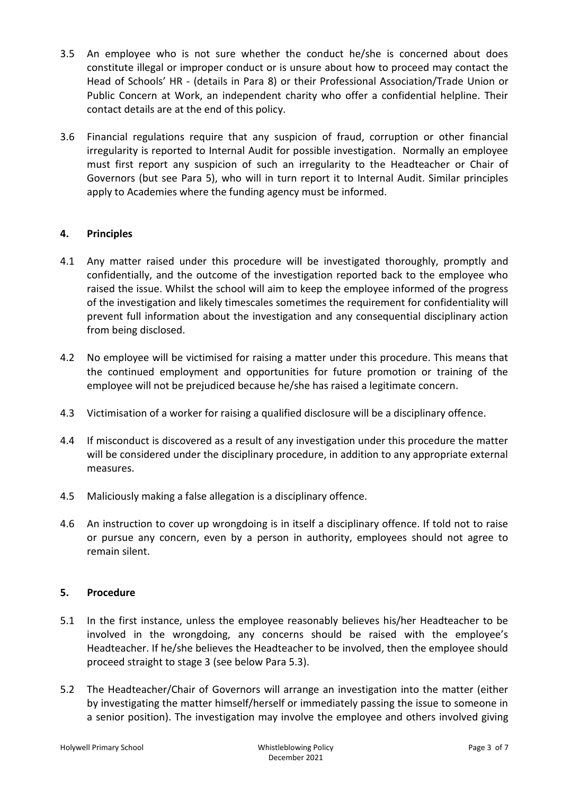- 3.5 An employee who is not sure whether the conduct he/she is concerned about does constitute illegal or improper conduct or is unsure about how to proceed may contact the Head of Schools' HR - (details in Para 8) or their Professional Association/Trade Union or Public Concern at Work, an independent charity who offer a confidential helpline. Their contact details are at the end of this policy.
- 3.6 Financial regulations require that any suspicion of fraud, corruption or other financial irregularity is reported to Internal Audit for possible investigation. Normally an employee must first report any suspicion of such an irregularity to the Headteacher or Chair of Governors (but see Para 5), who will in turn report it to Internal Audit. Similar principles apply to Academies where the funding agency must be informed.

#### **4. Principles**

- 4.1 Any matter raised under this procedure will be investigated thoroughly, promptly and confidentially, and the outcome of the investigation reported back to the employee who raised the issue. Whilst the school will aim to keep the employee informed of the progress of the investigation and likely timescales sometimes the requirement for confidentiality will prevent full information about the investigation and any consequential disciplinary action from being disclosed.
- 4.2 No employee will be victimised for raising a matter under this procedure. This means that the continued employment and opportunities for future promotion or training of the employee will not be prejudiced because he/she has raised a legitimate concern.
- 4.3 Victimisation of a worker for raising a qualified disclosure will be a disciplinary offence.
- 4.4 If misconduct is discovered as a result of any investigation under this procedure the matter will be considered under the disciplinary procedure, in addition to any appropriate external measures.
- 4.5 Maliciously making a false allegation is a disciplinary offence.
- 4.6 An instruction to cover up wrongdoing is in itself a disciplinary offence. If told not to raise or pursue any concern, even by a person in authority, employees should not agree to remain silent.

#### **5. Procedure**

- 5.1 In the first instance, unless the employee reasonably believes his/her Headteacher to be involved in the wrongdoing, any concerns should be raised with the employee's Headteacher. If he/she believes the Headteacher to be involved, then the employee should proceed straight to stage 3 (see below Para 5.3).
- 5.2 The Headteacher/Chair of Governors will arrange an investigation into the matter (either by investigating the matter himself/herself or immediately passing the issue to someone in a senior position). The investigation may involve the employee and others involved giving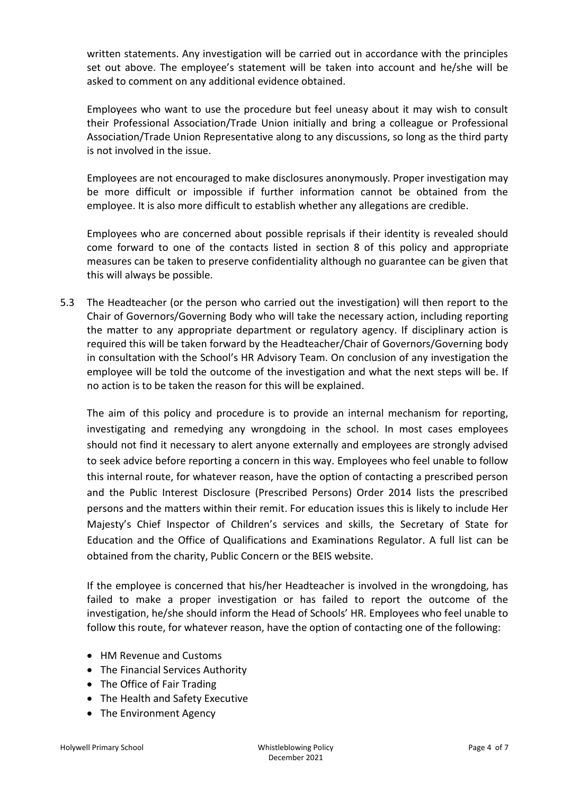written statements. Any investigation will be carried out in accordance with the principles set out above. The employee's statement will be taken into account and he/she will be asked to comment on any additional evidence obtained.

Employees who want to use the procedure but feel uneasy about it may wish to consult their Professional Association/Trade Union initially and bring a colleague or Professional Association/Trade Union Representative along to any discussions, so long as the third party is not involved in the issue.

Employees are not encouraged to make disclosures anonymously. Proper investigation may be more difficult or impossible if further information cannot be obtained from the employee. It is also more difficult to establish whether any allegations are credible.

Employees who are concerned about possible reprisals if their identity is revealed should come forward to one of the contacts listed in section 8 of this policy and appropriate measures can be taken to preserve confidentiality although no guarantee can be given that this will always be possible.

5.3 The Headteacher (or the person who carried out the investigation) will then report to the Chair of Governors/Governing Body who will take the necessary action, including reporting the matter to any appropriate department or regulatory agency. If disciplinary action is required this will be taken forward by the Headteacher/Chair of Governors/Governing body in consultation with the School's HR Advisory Team. On conclusion of any investigation the employee will be told the outcome of the investigation and what the next steps will be. If no action is to be taken the reason for this will be explained.

The aim of this policy and procedure is to provide an internal mechanism for reporting, investigating and remedying any wrongdoing in the school. In most cases employees should not find it necessary to alert anyone externally and employees are strongly advised to seek advice before reporting a concern in this way. Employees who feel unable to follow this internal route, for whatever reason, have the option of contacting a prescribed person and the Public Interest Disclosure (Prescribed Persons) Order 2014 lists the prescribed persons and the matters within their remit. For education issues this is likely to include Her Majesty's Chief Inspector of Children's services and skills, the Secretary of State for Education and the Office of Qualifications and Examinations Regulator. A full list can be obtained from the charity, Public Concern or the BEIS website.

If the employee is concerned that his/her Headteacher is involved in the wrongdoing, has failed to make a proper investigation or has failed to report the outcome of the investigation, he/she should inform the Head of Schools' HR. Employees who feel unable to follow this route, for whatever reason, have the option of contacting one of the following:

- HM Revenue and Customs
- The Financial Services Authority
- The Office of Fair Trading
- The Health and Safety Executive
- The Environment Agency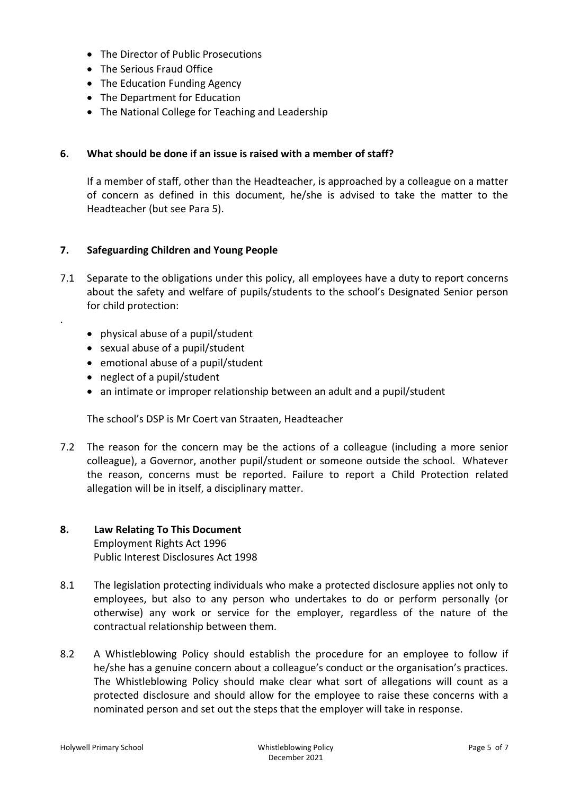- The Director of Public Prosecutions
- The Serious Fraud Office
- The Education Funding Agency
- The Department for Education
- The National College for Teaching and Leadership

#### **6. What should be done if an issue is raised with a member of staff?**

If a member of staff, other than the Headteacher, is approached by a colleague on a matter of concern as defined in this document, he/she is advised to take the matter to the Headteacher (but see Para 5).

#### **7. Safeguarding Children and Young People**

- 7.1 Separate to the obligations under this policy, all employees have a duty to report concerns about the safety and welfare of pupils/students to the school's Designated Senior person for child protection:
	- physical abuse of a pupil/student
	- sexual abuse of a pupil/student
	- emotional abuse of a pupil/student
	- neglect of a pupil/student

.

• an intimate or improper relationship between an adult and a pupil/student

The school's DSP is Mr Coert van Straaten, Headteacher

7.2 The reason for the concern may be the actions of a colleague (including a more senior colleague), a Governor, another pupil/student or someone outside the school. Whatever the reason, concerns must be reported. Failure to report a Child Protection related allegation will be in itself, a disciplinary matter.

#### **8. Law Relating To This Document** Employment Rights Act 1996 Public Interest Disclosures Act 1998

- 8.1 The legislation protecting individuals who make a protected disclosure applies not only to employees, but also to any person who undertakes to do or perform personally (or otherwise) any work or service for the employer, regardless of the nature of the contractual relationship between them.
- 8.2 A Whistleblowing Policy should establish the procedure for an employee to follow if he/she has a genuine concern about a colleague's conduct or the organisation's practices. The Whistleblowing Policy should make clear what sort of allegations will count as a protected disclosure and should allow for the employee to raise these concerns with a nominated person and set out the steps that the employer will take in response.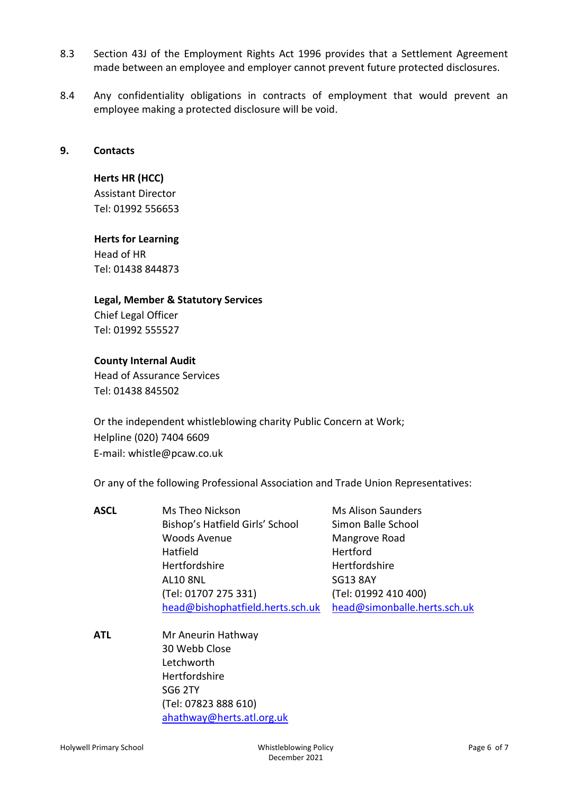- 8.3 Section 43J of the Employment Rights Act 1996 provides that a Settlement Agreement made between an employee and employer cannot prevent future protected disclosures.
- 8.4 Any confidentiality obligations in contracts of employment that would prevent an employee making a protected disclosure will be void.

#### **9. Contacts**

#### **Herts HR (HCC)**

Assistant Director Tel: 01992 556653

#### **Herts for Learning**

Head of HR Tel: 01438 844873

#### **Legal, Member & Statutory Services**

Chief Legal Officer Tel: 01992 555527

#### **County Internal Audit**

Head of Assurance Services Tel: 01438 845502

Or the independent whistleblowing charity Public Concern at Work; Helpline (020) 7404 6609 E-mail: whistle@pcaw.co.uk

Or any of the following Professional Association and Trade Union Representatives:

| <b>ASCL</b> | Ms Theo Nickson                  | <b>Ms Alison Saunders</b>    |
|-------------|----------------------------------|------------------------------|
|             | Bishop's Hatfield Girls' School  | Simon Balle School           |
|             | <b>Woods Avenue</b>              | Mangrove Road                |
|             | Hatfield                         | Hertford                     |
|             | Hertfordshire                    | Hertfordshire                |
|             | <b>AL10 8NL</b>                  | <b>SG13 8AY</b>              |
|             | (Tel: 01707 275 331)             | (Tel: 01992 410 400)         |
|             | head@bishophatfield.herts.sch.uk | head@simonballe.herts.sch.uk |

**ATL** Mr Aneurin Hathway 30 Webb Close Letchworth Hertfordshire SG6 2TY (Tel: 07823 888 610) [ahathway@herts.atl.org.uk](mailto:ahathway@herts.atl.org.uk)